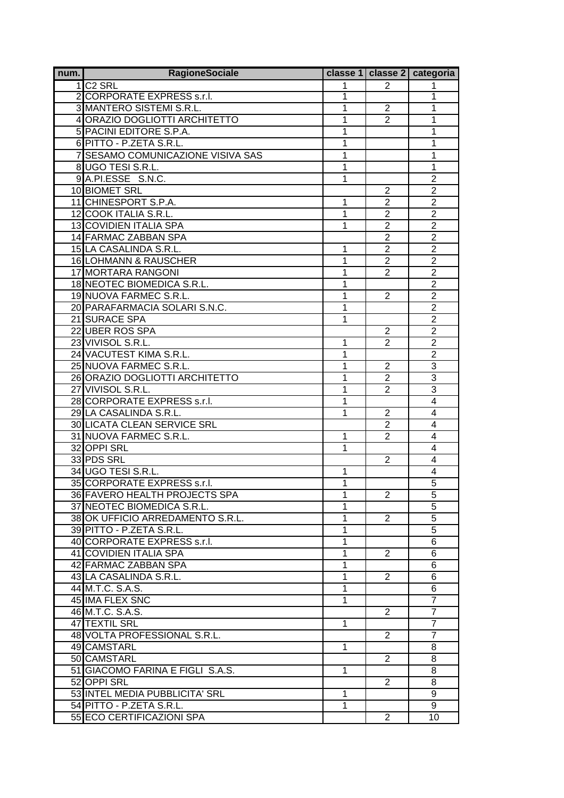| num. | <b>RagioneSociale</b>                |              |                | classe 1   classe 2   categoria |
|------|--------------------------------------|--------------|----------------|---------------------------------|
|      | 1 C <sub>2</sub> SRL                 | 1            | 2              |                                 |
|      | 2 CORPORATE EXPRESS s.r.l.           | 1            |                | 1                               |
|      | 3 MANTERO SISTEMI S.R.L.             | 1            | $\overline{2}$ | 1                               |
|      | 4 ORAZIO DOGLIOTTI ARCHITETTO        | 1            | $\overline{2}$ | 1                               |
|      | 5 PACINI EDITORE S.P.A.              | 1            |                | 1                               |
|      | 6 PITTO - P.ZETA S.R.L.              | 1            |                | 1                               |
|      | 7 SESAMO COMUNICAZIONE VISIVA SAS    | 1            |                | 1                               |
|      | 8 UGO TESI S.R.L.                    | 1            |                | 1                               |
|      | 9 A.PI.ESSE S.N.C.                   | 1            |                | $\overline{2}$                  |
|      | 10 BIOMET SRL                        |              | $\overline{2}$ | $\overline{2}$                  |
|      | 11 CHINESPORT S.P.A.                 | 1            | $\overline{2}$ | $\overline{2}$                  |
|      | 12 COOK ITALIA S.R.L.                | 1            | $\overline{2}$ | $\overline{2}$                  |
|      | <b>13 COVIDIEN ITALIA SPA</b>        | 1            | $\overline{2}$ | $\overline{2}$                  |
|      | <b>14 FARMAC ZABBAN SPA</b>          |              | $\overline{2}$ | $\overline{2}$                  |
|      | 15 LA CASALINDA S.R.L.               | 1            | $\overline{2}$ | $\overline{2}$                  |
|      | 16 LOHMANN & RAUSCHER                | 1            | $\overline{2}$ | $\overline{2}$                  |
|      | <b>17 MORTARA RANGONI</b>            | 1            | $\overline{2}$ | $\overline{2}$                  |
|      | 18 NEOTEC BIOMEDICA S.R.L.           | 1            |                | $\overline{2}$                  |
|      | 19 NUOVA FARMEC S.R.L.               | 1            | $\overline{2}$ | $\overline{c}$                  |
|      | 20 PARAFARMACIA SOLARI S.N.C.        | 1            |                | $\overline{2}$                  |
|      | 21 SURACE SPA                        | 1            |                | $\overline{2}$                  |
|      | 22 UBER ROS SPA                      |              | 2              | $\overline{2}$                  |
|      | 23 VIVISOL S.R.L.                    | 1            | $\overline{2}$ | $\overline{2}$                  |
|      | 24 VACUTEST KIMA S.R.L.              | 1            |                | $\overline{2}$                  |
|      | 25 NUOVA FARMEC S.R.L.               | 1            | $\overline{2}$ | $\overline{3}$                  |
|      | 26 ORAZIO DOGLIOTTI ARCHITETTO       | 1            | $\overline{2}$ | $\overline{3}$                  |
|      | 27 VIVISOL S.R.L.                    | 1            | $\overline{2}$ | $\overline{3}$                  |
|      | 28 CORPORATE EXPRESS s.r.l.          | 1            |                | $\overline{4}$                  |
|      | 29 LA CASALINDA S.R.L.               | 1            | $\overline{2}$ | $\overline{4}$                  |
|      | <b>30 LICATA CLEAN SERVICE SRL</b>   |              | $\overline{2}$ | $\overline{4}$                  |
|      | 31 NUOVA FARMEC S.R.L.               | 1            | 2              | $\overline{4}$                  |
|      | 32 OPPI SRL                          | 1            |                | $\overline{4}$                  |
|      | 33 PDS SRL                           |              | $\overline{2}$ | $\overline{4}$                  |
|      | 34 UGO TESI S.R.L.                   | 1            |                | 4                               |
|      | 35 CORPORATE EXPRESS s.r.l.          | 1            |                | $\overline{5}$                  |
|      | <b>36 FAVERO HEALTH PROJECTS SPA</b> | 1            | 2              | 5                               |
|      | 37 NEOTEC BIOMEDICA S.R.L            | 1            |                | $\overline{5}$                  |
|      | 38 OK UFFICIO ARREDAMENTO S.R.L.     | 1            | $\overline{2}$ | $\overline{5}$                  |
|      | 39 PITTO - P.ZETA S.R.L.             | 1            |                | $\overline{5}$                  |
|      | 40 CORPORATE EXPRESS s.r.l.          | 1            |                | 6                               |
|      | 41 COVIDIEN ITALIA SPA               | 1            | 2              | 6                               |
|      | 42 FARMAC ZABBAN SPA                 | 1            |                | 6                               |
|      | 43 LA CASALINDA S.R.L.               | 1            | 2              | 6                               |
|      | 44 M.T.C. S.A.S.                     | 1            |                | 6                               |
|      | 45 IMA FLEX SNC                      | 1            |                | $\overline{7}$                  |
|      | 46 M.T.C. S.A.S.                     |              | 2              | $\overline{7}$                  |
|      | 47 TEXTIL SRL                        | 1            |                | $\overline{7}$                  |
|      | 48 VOLTA PROFESSIONAL S.R.L.         |              | $\overline{2}$ | $\overline{7}$                  |
|      | 49 CAMSTARL                          | $\mathbf{1}$ |                | 8                               |
|      | 50 CAMSTARL                          |              | 2              | 8                               |
|      | 51 GIACOMO FARINA E FIGLI S.A.S.     | 1            |                | 8                               |
|      | 52 OPPI SRL                          |              | 2              | 8                               |
|      | 53 INTEL MEDIA PUBBLICITA' SRL       | 1            |                | 9                               |
|      | 54 PITTO - P.ZETA S.R.L.             | 1            |                | 9                               |
|      | 55 ECO CERTIFICAZIONI SPA            |              | $\overline{2}$ | 10                              |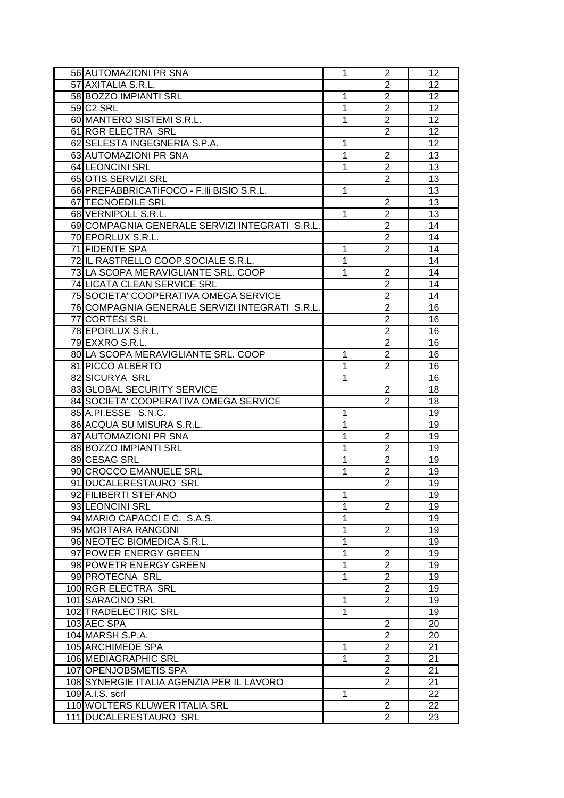| 56 AUTOMAZIONI PR SNA                          | 1            | $\overline{2}$                   | 12 |
|------------------------------------------------|--------------|----------------------------------|----|
| 57 AXITALIA S.R.L.                             |              | $\overline{2}$                   | 12 |
| 58 BOZZO IMPIANTI SRL                          | 1            | $\overline{2}$                   | 12 |
| 59 C <sub>2</sub> SRL                          | 1            | $\overline{2}$                   | 12 |
| 60 MANTERO SISTEMI S.R.L.                      | 1            | $\overline{2}$                   | 12 |
| 61 RGR ELECTRA SRL                             |              | $\overline{2}$                   | 12 |
| 62 SELESTA INGEGNERIA S.P.A.                   | 1            |                                  | 12 |
| 63 AUTOMAZIONI PR SNA                          | 1            | $\overline{2}$                   | 13 |
| <b>64 LEONCINI SRL</b>                         | 1            | $\overline{2}$                   | 13 |
| 65 OTIS SERVIZI SRL                            |              | $\overline{2}$                   | 13 |
| 66 PREFABBRICATIFOCO - F.IIi BISIO S.R.L.      | 1            |                                  | 13 |
| 67 TECNOEDILE SRL                              |              | 2                                | 13 |
| 68 VERNIPOLL S.R.L.                            | 1            | $\overline{2}$                   | 13 |
| 69 COMPAGNIA GENERALE SERVIZI INTEGRATI S.R.L. |              | $\overline{2}$                   | 14 |
|                                                |              |                                  |    |
| 70 EPORLUX S.R.L.                              |              | $\overline{c}$                   | 14 |
| 71 FIDENTE SPA                                 | 1            | $\overline{2}$                   | 14 |
| 72 IL RASTRELLO COOP.SOCIALE S.R.L.            | 1            |                                  | 14 |
| 73 LA SCOPA MERAVIGLIANTE SRL. COOP            | 1            | $\overline{2}$                   | 14 |
| 74 LICATA CLEAN SERVICE SRL                    |              | $\overline{2}$                   | 14 |
| 75 SOCIETA' COOPERATIVA OMEGA SERVICE          |              | $\overline{2}$                   | 14 |
| 76 COMPAGNIA GENERALE SERVIZI INTEGRATI S.R.L. |              | $\overline{2}$                   | 16 |
| 77 CORTESI SRL                                 |              | $\overline{2}$                   | 16 |
| 78 EPORLUX S.R.L.                              |              | $\overline{2}$                   | 16 |
| 79 EXXRO S.R.L.                                |              | $\overline{2}$                   | 16 |
| 80 LA SCOPA MERAVIGLIANTE SRL. COOP            | 1            | $\overline{2}$                   | 16 |
| 81 PICCO ALBERTO                               | 1            | $\overline{2}$                   | 16 |
| 82 SICURYA SRL                                 | 1            |                                  | 16 |
| 83 GLOBAL SECURITY SERVICE                     |              | 2                                | 18 |
| 84 SOCIETA' COOPERATIVA OMEGA SERVICE          |              | 2                                | 18 |
| 85 A.PI.ESSE S.N.C.                            | 1            |                                  | 19 |
| 86 ACQUA SU MISURA S.R.L.                      | 1            |                                  | 19 |
| 87 AUTOMAZIONI PR SNA                          | 1            | $\overline{2}$                   | 19 |
| 88 BOZZO IMPIANTI SRL                          | 1            | $\overline{2}$                   | 19 |
| 89 CESAG SRL                                   | 1            | $\overline{2}$                   | 19 |
| 90 CROCCO EMANUELE SRL                         | 1            | $\overline{2}$                   | 19 |
| 91 DUCALERESTAURO SRL                          |              | $\overline{2}$                   | 19 |
| 92 FILIBERTI STEFANO                           | 1            |                                  | 19 |
| 93 LEONCINI SRL                                | 1            | 2                                | 19 |
| 94 MARIO CAPACCI E C. S.A.S.                   | 1            |                                  | 19 |
| 95 MORTARA RANGONI                             | 1            | $\overline{2}$                   | 19 |
| 96 NEOTEC BIOMEDICA S.R.L.                     | 1            |                                  | 19 |
| 97 POWER ENERGY GREEN                          | $\mathbf{1}$ | $\overline{2}$                   | 19 |
| 98 POWETR ENERGY GREEN                         | 1            | $\overline{2}$                   | 19 |
| 99 PROTECNA SRL                                | 1            | $\overline{2}$                   | 19 |
| 100 RGR ELECTRA SRL                            |              | $\overline{2}$                   | 19 |
| 101 SARACINO SRL                               | 1            | $\overline{2}$                   | 19 |
| 102 TRADELECTRIC SRL                           | 1            |                                  | 19 |
| 103 AEC SPA                                    |              |                                  | 20 |
| 104 MARSH S.P.A.                               |              | $\overline{2}$<br>$\overline{2}$ |    |
|                                                |              |                                  | 20 |
| 105 ARCHIMEDE SPA                              | 1            | $\overline{2}$                   | 21 |
| 106 MEDIAGRAPHIC SRL                           | 1            | $\overline{2}$                   | 21 |
| 107 OPENJOBSMETIS SPA                          |              | $\overline{2}$                   | 21 |
| 108 SYNERGIE ITALIA AGENZIA PER IL LAVORO      |              | 2                                | 21 |
| 109 A.I.S. scrl                                | 1            |                                  | 22 |
| 110 WOLTERS KLUWER ITALIA SRL                  |              | 2                                | 22 |
| 111 DUCALERESTAURO SRL                         |              | $\overline{2}$                   | 23 |